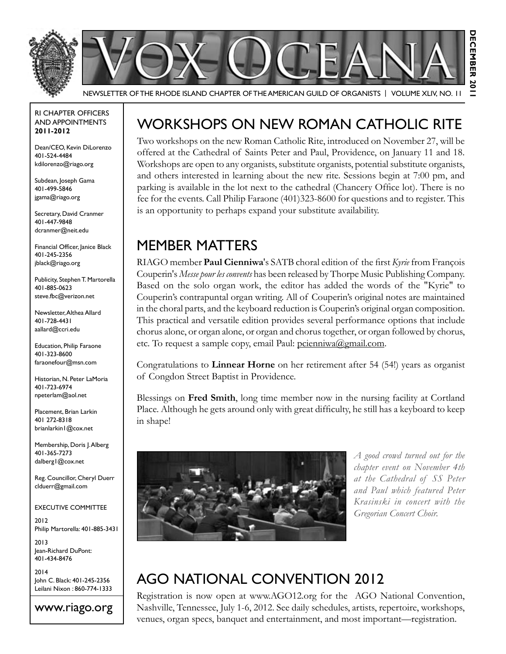

RI Chapter Officers and Appointments **2011-2012**

Dean/CEO, Kevin DiLorenzo 401-524-4484 kdilorenzo@riago.org

Subdean, Joseph Gama 401-499-5846 jgama@riago.org

Secretary, David Cranmer 401-447-9848 dcranmer@neit.edu

Financial Officer, Janice Black 401-245-2356 jblack@riago.org

Publicity, Stephen T. Martorella 401-885-0623 steve.fbc@verizon.net

Newsletter, Althea Allard 401-728-4431 aallard@ccri.edu

Education, Philip Faraone 401-323-8600 faraonefour@msn.com

Historian, N. Peter LaMoria 401-723-6974 npeterlam@aol.net

Placement, Brian Larkin 401 272-8318 brianlarkin1@cox.net

Membership, Doris J. Alberg 401-365-7273 dalberg1@cox.net

Reg. Councillor, Cheryl Duerr clduerr@gmail.com

#### Executive Committee

2012 Philip Martorella: 401-885-3431

2013 Jean-Richard DuPont: 401-434-8476

2014 John C. Black: 401-245-2356 Leilani Nixon : 860-774-1333

www.riago.org

# Workshops on New Roman Catholic Rite

Two workshops on the new Roman Catholic Rite, introduced on November 27, will be offered at the Cathedral of Saints Peter and Paul, Providence, on January 11 and 18. Workshops are open to any organists, substitute organists, potential substitute organists, and others interested in learning about the new rite. Sessions begin at 7:00 pm, and parking is available in the lot next to the cathedral (Chancery Office lot). There is no fee for the events. Call Philip Faraone (401)323-8600 for questions and to register. This is an opportunity to perhaps expand your substitute availability.

### Member Matters

RIAGO member **Paul Cienniwa**'s SATB choral edition of the first *Kyrie* from François Couperin's *Messe pour les convents* has been released by Thorpe Music Publishing Company. Based on the solo organ work, the editor has added the words of the "Kyrie" to Couperin's contrapuntal organ writing. All of Couperin's original notes are maintained in the choral parts, and the keyboard reduction is Couperin's original organ composition. This practical and versatile edition provides several performance options that include chorus alone, or organ alone, or organ and chorus together, or organ followed by chorus, etc. To request a sample copy, email Paul: pcienniwa@gmail.com.

Congratulations to **Linnear Horne** on her retirement after 54 (54!) years as organist of Congdon Street Baptist in Providence.

Blessings on **Fred Smith**, long time member now in the nursing facility at Cortland Place. Although he gets around only with great difficulty, he still has a keyboard to keep in shape!



*A good crowd turned out for the chapter event on November 4th at the Cathedral of SS Peter and Paul which featured Peter Krasinski in concert with the Gregorian Concert Choir.*

# AGO National Convention 2012

Registration is now open at www.AGO12.org for the AGO National Convention, Nashville, Tennessee, July 1-6, 2012. See daily schedules, artists, repertoire, workshops, venues, organ specs, banquet and entertainment, and most important—registration.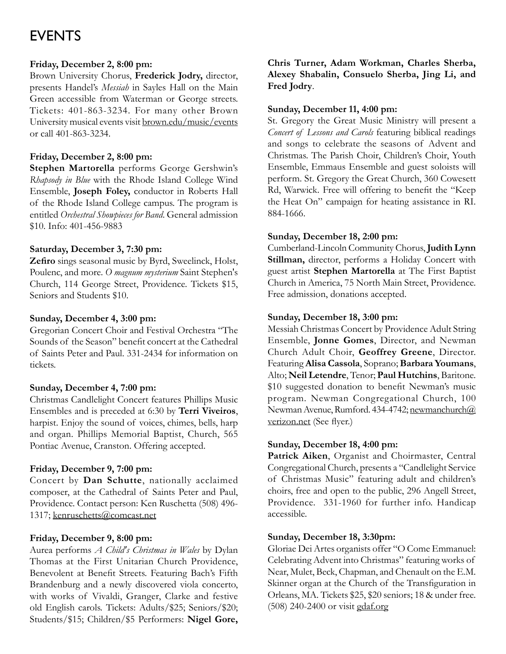## **EVENTS**

#### **Friday, December 2, 8:00 pm:**

Brown University Chorus, **Frederick Jodry,** director, presents Handel's *Messiah* in Sayles Hall on the Main Green accessible from Waterman or George streets. Tickets: 401-863-3234. For many other Brown University musical events visit brown.edu/music/events or call 401-863-3234.

#### **Friday, December 2, 8:00 pm:**

**Stephen Martorella** performs George Gershwin's *Rhapsody in Blue* with the Rhode Island College Wind Ensemble, **Joseph Foley,** conductor in Roberts Hall of the Rhode Island College campus. The program is entitled *Orchestral Showpieces for Band*. General admission \$10. Info: 401-456-9883

#### **Saturday, December 3, 7:30 pm:**

**Zefiro** sings seasonal music by Byrd, Sweelinck, Holst, Poulenc, and more. *O magnum mysterium* Saint Stephen's Church, 114 George Street, Providence. Tickets \$15, Seniors and Students \$10.

#### **Sunday, December 4, 3:00 pm:**

Gregorian Concert Choir and Festival Orchestra "The Sounds of the Season" benefit concert at the Cathedral of Saints Peter and Paul. 331-2434 for information on tickets.

#### **Sunday, December 4, 7:00 pm:**

Christmas Candlelight Concert features Phillips Music Ensembles and is preceded at 6:30 by **Terri Viveiros**, harpist. Enjoy the sound of voices, chimes, bells, harp and organ. Phillips Memorial Baptist, Church, 565 Pontiac Avenue, Cranston. Offering accepted.

#### **Friday, December 9, 7:00 pm:**

Concert by **Dan Schutte**, nationally acclaimed composer, at the Cathedral of Saints Peter and Paul, Providence. Contact person: Ken Ruschetta (508) 496- 1317; kenruschetts@comcast.net

#### **Friday, December 9, 8:00 pm:**

Aurea performs *A Child's Christmas in Wales* by Dylan Thomas at the First Unitarian Church Providence, Benevolent at Benefit Streets. Featuring Bach's Fifth Brandenburg and a newly discovered viola concerto, with works of Vivaldi, Granger, Clarke and festive old English carols. Tickets: Adults/\$25; Seniors/\$20; Students/\$15; Children/\$5 Performers: **Nigel Gore,** 

#### **Chris Turner, Adam Workman, Charles Sherba, Alexey Shabalin, Consuelo Sherba, Jing Li, and Fred Jodry**.

#### **Sunday, December 11, 4:00 pm:**

St. Gregory the Great Music Ministry will present a *Concert of Lessons and Carols* featuring biblical readings and songs to celebrate the seasons of Advent and Christmas. The Parish Choir, Children's Choir, Youth Ensemble, Emmaus Ensemble and guest soloists will perform. St. Gregory the Great Church, 360 Cowesett Rd, Warwick. Free will offering to benefit the "Keep the Heat On" campaign for heating assistance in RI. 884-1666.

#### **Sunday, December 18, 2:00 pm:**

Cumberland-Lincoln Community Chorus, **Judith Lynn Stillman,** director, performs a Holiday Concert with guest artist **Stephen Martorella** at The First Baptist Church in America, 75 North Main Street, Providence. Free admission, donations accepted.

#### **Sunday, December 18, 3:00 pm:**

Messiah Christmas Concert by Providence Adult String Ensemble, **Jonne Gomes**, Director, and Newman Church Adult Choir, **Geoffrey Greene**, Director. Featuring **Alisa Cassola**, Soprano; **Barbara Youmans**, Alto; **Neil Letendre**, Tenor; **Paul Hutchins**, Baritone. \$10 suggested donation to benefit Newman's music program. Newman Congregational Church, 100 Newman Avenue, Rumford. 434-4742; newmanchurch@ verizon.net (See flyer.)

#### **Sunday, December 18, 4:00 pm:**

Patrick Aiken, Organist and Choirmaster, Central Congregational Church, presents a "Candlelight Service of Christmas Music" featuring adult and children's choirs, free and open to the public, 296 Angell Street, Providence. 331-1960 for further info. Handicap accessible.

#### **Sunday, December 18, 3:30pm:**

Gloriae Dei Artes organists offer "O Come Emmanuel: Celebrating Advent into Christmas" featuring works of Near, Mulet, Beck, Chapman, and Chenault on the E.M. Skinner organ at the Church of the Transfiguration in Orleans, MA. Tickets \$25, \$20 seniors; 18 & under free. (508) 240-2400 or visit gdaf.org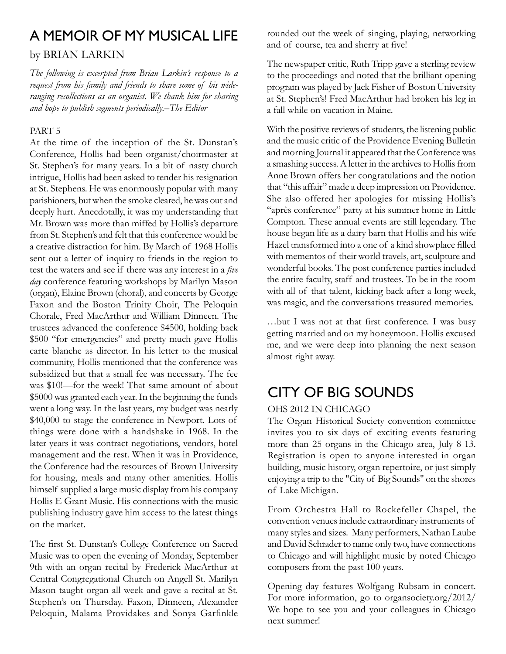### A Memoir of My Musical Life

#### by Brian Larkin

*The following is excerpted from Brian Larkin's response to a request from his family and friends to share some of his wideranging recollections as an organist. We thank him for sharing and hope to publish segments periodically.–The Editor* 

#### PART 5

At the time of the inception of the St. Dunstan's Conference, Hollis had been organist/choirmaster at St. Stephen's for many years. In a bit of nasty church intrigue, Hollis had been asked to tender his resignation at St. Stephens. He was enormously popular with many parishioners, but when the smoke cleared, he was out and deeply hurt. Anecdotally, it was my understanding that Mr. Brown was more than miffed by Hollis's departure from St. Stephen's and felt that this conference would be a creative distraction for him. By March of 1968 Hollis sent out a letter of inquiry to friends in the region to test the waters and see if there was any interest in a *five day* conference featuring workshops by Marilyn Mason (organ), Elaine Brown (choral), and concerts by George Faxon and the Boston Trinity Choir, The Peloquin Chorale, Fred MacArthur and William Dinneen. The trustees advanced the conference \$4500, holding back \$500 "for emergencies" and pretty much gave Hollis carte blanche as director. In his letter to the musical community, Hollis mentioned that the conference was subsidized but that a small fee was necessary. The fee was \$10!—for the week! That same amount of about \$5000 was granted each year. In the beginning the funds went a long way. In the last years, my budget was nearly \$40,000 to stage the conference in Newport. Lots of things were done with a handshake in 1968. In the later years it was contract negotiations, vendors, hotel management and the rest. When it was in Providence, the Conference had the resources of Brown University for housing, meals and many other amenities. Hollis himself supplied a large music display from his company Hollis E Grant Music. His connections with the music publishing industry gave him access to the latest things on the market.

The first St. Dunstan's College Conference on Sacred Music was to open the evening of Monday, September 9th with an organ recital by Frederick MacArthur at Central Congregational Church on Angell St. Marilyn Mason taught organ all week and gave a recital at St. Stephen's on Thursday. Faxon, Dinneen, Alexander Peloquin, Malama Providakes and Sonya Garfinkle rounded out the week of singing, playing, networking and of course, tea and sherry at five!

The newspaper critic, Ruth Tripp gave a sterling review to the proceedings and noted that the brilliant opening program was played by Jack Fisher of Boston University at St. Stephen's! Fred MacArthur had broken his leg in a fall while on vacation in Maine.

With the positive reviews of students, the listening public and the music critic of the Providence Evening Bulletin and morning Journal it appeared that the Conference was a smashing success. A letter in the archives to Hollis from Anne Brown offers her congratulations and the notion that "this affair" made a deep impression on Providence. She also offered her apologies for missing Hollis's "après conference" party at his summer home in Little Compton. These annual events are still legendary. The house began life as a dairy barn that Hollis and his wife Hazel transformed into a one of a kind showplace filled with mementos of their world travels, art, sculpture and wonderful books. The post conference parties included the entire faculty, staff and trustees. To be in the room with all of that talent, kicking back after a long week, was magic, and the conversations treasured memories.

…but I was not at that first conference. I was busy getting married and on my honeymoon. Hollis excused me, and we were deep into planning the next season almost right away.

## City of Big Sounds

#### OHS 2012 in Chicago

The Organ Historical Society convention committee invites you to six days of exciting events featuring more than 25 organs in the Chicago area, July 8-13. Registration is open to anyone interested in organ building, music history, organ repertoire, or just simply enjoying a trip to the "City of Big Sounds" on the shores of Lake Michigan.

From Orchestra Hall to Rockefeller Chapel, the convention venues include extraordinary instruments of many styles and sizes. Many performers, Nathan Laube and David Schrader to name only two, have connections to Chicago and will highlight music by noted Chicago composers from the past 100 years.

Opening day features Wolfgang Rubsam in concert. For more information, go to organsociety.org/2012/ We hope to see you and your colleagues in Chicago next summer!